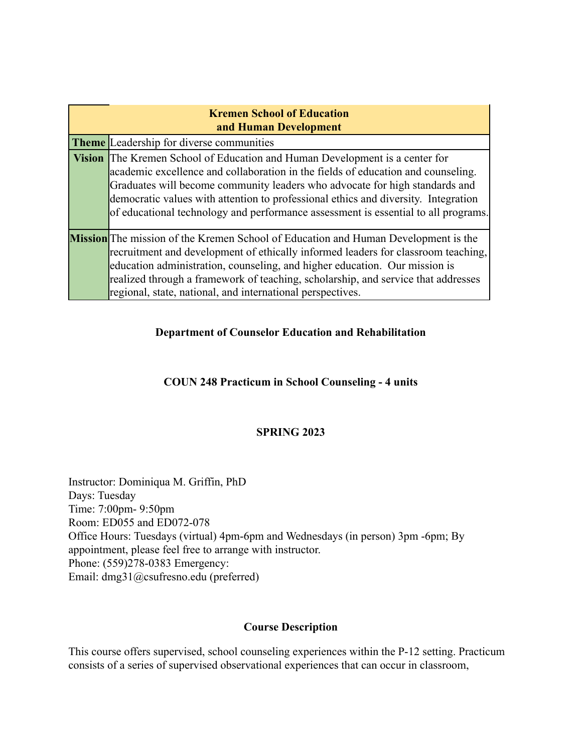| <b>Kremen School of Education</b><br>and Human Development |                                                                                                                                                                                                                                                                                                                                                                                                                                   |  |
|------------------------------------------------------------|-----------------------------------------------------------------------------------------------------------------------------------------------------------------------------------------------------------------------------------------------------------------------------------------------------------------------------------------------------------------------------------------------------------------------------------|--|
|                                                            | <b>Theme</b> Leadership for diverse communities                                                                                                                                                                                                                                                                                                                                                                                   |  |
|                                                            | <b>Vision</b> The Kremen School of Education and Human Development is a center for<br>academic excellence and collaboration in the fields of education and counseling.<br>Graduates will become community leaders who advocate for high standards and<br>democratic values with attention to professional ethics and diversity. Integration<br>of educational technology and performance assessment is essential to all programs. |  |
|                                                            | <b>Mission</b> The mission of the Kremen School of Education and Human Development is the<br>recruitment and development of ethically informed leaders for classroom teaching,<br>education administration, counseling, and higher education. Our mission is<br>realized through a framework of teaching, scholarship, and service that addresses<br>regional, state, national, and international perspectives.                   |  |

## **Department of Counselor Education and Rehabilitation**

## **COUN 248 Practicum in School Counseling - 4 units**

## **SPRING 2023**

Instructor: Dominiqua M. Griffin, PhD Days: Tuesday Time: 7:00pm- 9:50pm Room: ED055 and ED072-078 Office Hours: Tuesdays (virtual) 4pm-6pm and Wednesdays (in person) 3pm -6pm; By appointment, please feel free to arrange with instructor. Phone: (559)278-0383 Emergency: Email: dmg31@csufresno.edu (preferred)

#### **Course Description**

This course offers supervised, school counseling experiences within the P-12 setting. Practicum consists of a series of supervised observational experiences that can occur in classroom,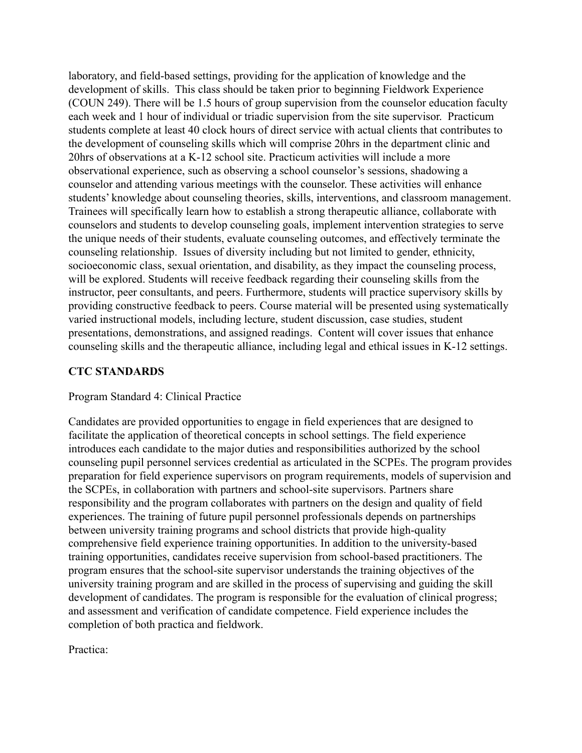laboratory, and field-based settings, providing for the application of knowledge and the development of skills. This class should be taken prior to beginning Fieldwork Experience (COUN 249). There will be 1.5 hours of group supervision from the counselor education faculty each week and 1 hour of individual or triadic supervision from the site supervisor. Practicum students complete at least 40 clock hours of direct service with actual clients that contributes to the development of counseling skills which will comprise 20hrs in the department clinic and 20hrs of observations at a K-12 school site. Practicum activities will include a more observational experience, such as observing a school counselor's sessions, shadowing a counselor and attending various meetings with the counselor. These activities will enhance students' knowledge about counseling theories, skills, interventions, and classroom management. Trainees will specifically learn how to establish a strong therapeutic alliance, collaborate with counselors and students to develop counseling goals, implement intervention strategies to serve the unique needs of their students, evaluate counseling outcomes, and effectively terminate the counseling relationship. Issues of diversity including but not limited to gender, ethnicity, socioeconomic class, sexual orientation, and disability, as they impact the counseling process, will be explored. Students will receive feedback regarding their counseling skills from the instructor, peer consultants, and peers. Furthermore, students will practice supervisory skills by providing constructive feedback to peers. Course material will be presented using systematically varied instructional models, including lecture, student discussion, case studies, student presentations, demonstrations, and assigned readings. Content will cover issues that enhance counseling skills and the therapeutic alliance, including legal and ethical issues in K-12 settings.

#### **CTC STANDARDS**

#### Program Standard 4: Clinical Practice

Candidates are provided opportunities to engage in field experiences that are designed to facilitate the application of theoretical concepts in school settings. The field experience introduces each candidate to the major duties and responsibilities authorized by the school counseling pupil personnel services credential as articulated in the SCPEs. The program provides preparation for field experience supervisors on program requirements, models of supervision and the SCPEs, in collaboration with partners and school-site supervisors. Partners share responsibility and the program collaborates with partners on the design and quality of field experiences. The training of future pupil personnel professionals depends on partnerships between university training programs and school districts that provide high-quality comprehensive field experience training opportunities. In addition to the university-based training opportunities, candidates receive supervision from school-based practitioners. The program ensures that the school-site supervisor understands the training objectives of the university training program and are skilled in the process of supervising and guiding the skill development of candidates. The program is responsible for the evaluation of clinical progress; and assessment and verification of candidate competence. Field experience includes the completion of both practica and fieldwork.

Practica: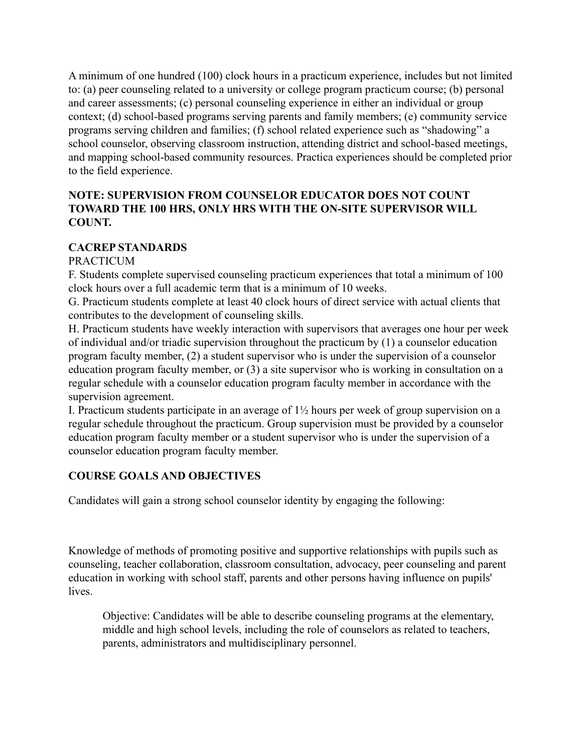A minimum of one hundred (100) clock hours in a practicum experience, includes but not limited to: (a) peer counseling related to a university or college program practicum course; (b) personal and career assessments; (c) personal counseling experience in either an individual or group context; (d) school-based programs serving parents and family members; (e) community service programs serving children and families; (f) school related experience such as "shadowing" a school counselor, observing classroom instruction, attending district and school-based meetings, and mapping school-based community resources. Practica experiences should be completed prior to the field experience.

# **NOTE: SUPERVISION FROM COUNSELOR EDUCATOR DOES NOT COUNT TOWARD THE 100 HRS, ONLY HRS WITH THE ON-SITE SUPERVISOR WILL COUNT.**

# **CACREP STANDARDS**

# **PRACTICUM**

F. Students complete supervised counseling practicum experiences that total a minimum of 100 clock hours over a full academic term that is a minimum of 10 weeks.

G. Practicum students complete at least 40 clock hours of direct service with actual clients that contributes to the development of counseling skills.

H. Practicum students have weekly interaction with supervisors that averages one hour per week of individual and/or triadic supervision throughout the practicum by (1) a counselor education program faculty member, (2) a student supervisor who is under the supervision of a counselor education program faculty member, or  $(3)$  a site supervisor who is working in consultation on a regular schedule with a counselor education program faculty member in accordance with the supervision agreement.

I. Practicum students participate in an average of 1½ hours per week of group supervision on a regular schedule throughout the practicum. Group supervision must be provided by a counselor education program faculty member or a student supervisor who is under the supervision of a counselor education program faculty member.

# **COURSE GOALS AND OBJECTIVES**

Candidates will gain a strong school counselor identity by engaging the following:

Knowledge of methods of promoting positive and supportive relationships with pupils such as counseling, teacher collaboration, classroom consultation, advocacy, peer counseling and parent education in working with school staff, parents and other persons having influence on pupils' lives.

Objective: Candidates will be able to describe counseling programs at the elementary, middle and high school levels, including the role of counselors as related to teachers, parents, administrators and multidisciplinary personnel.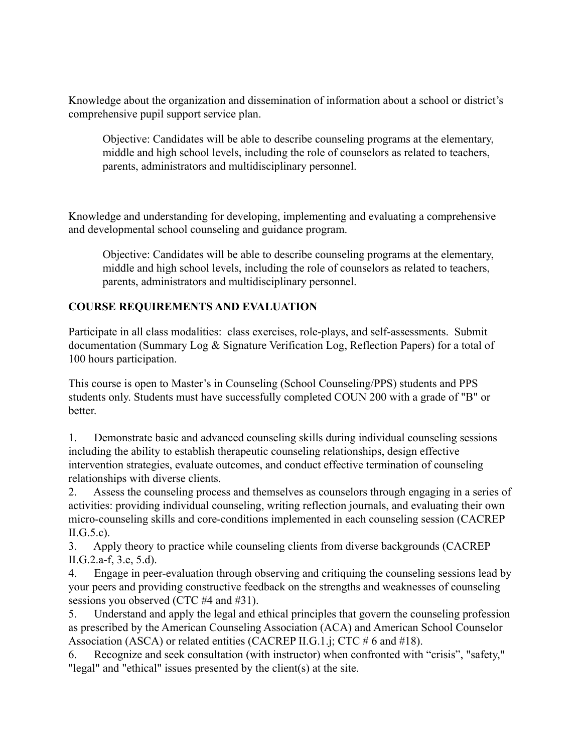Knowledge about the organization and dissemination of information about a school or district's comprehensive pupil support service plan.

Objective: Candidates will be able to describe counseling programs at the elementary, middle and high school levels, including the role of counselors as related to teachers, parents, administrators and multidisciplinary personnel.

Knowledge and understanding for developing, implementing and evaluating a comprehensive and developmental school counseling and guidance program.

Objective: Candidates will be able to describe counseling programs at the elementary, middle and high school levels, including the role of counselors as related to teachers, parents, administrators and multidisciplinary personnel.

# **COURSE REQUIREMENTS AND EVALUATION**

Participate in all class modalities: class exercises, role-plays, and self-assessments. Submit documentation (Summary Log & Signature Verification Log, Reflection Papers) for a total of 100 hours participation.

This course is open to Master's in Counseling (School Counseling/PPS) students and PPS students only. Students must have successfully completed COUN 200 with a grade of "B" or better.

1. Demonstrate basic and advanced counseling skills during individual counseling sessions including the ability to establish therapeutic counseling relationships, design effective intervention strategies, evaluate outcomes, and conduct effective termination of counseling relationships with diverse clients.

2. Assess the counseling process and themselves as counselors through engaging in a series of activities: providing individual counseling, writing reflection journals, and evaluating their own micro-counseling skills and core-conditions implemented in each counseling session (CACREP  $II.G.5.c$ ).

3. Apply theory to practice while counseling clients from diverse backgrounds (CACREP II.G.2.a-f, 3.e, 5.d).

4. Engage in peer-evaluation through observing and critiquing the counseling sessions lead by your peers and providing constructive feedback on the strengths and weaknesses of counseling sessions you observed (CTC #4 and #31).

5. Understand and apply the legal and ethical principles that govern the counseling profession as prescribed by the American Counseling Association (ACA) and American School Counselor Association (ASCA) or related entities (CACREP II.G.1.j; CTC # 6 and #18).

6. Recognize and seek consultation (with instructor) when confronted with "crisis", "safety," "legal" and "ethical" issues presented by the client(s) at the site.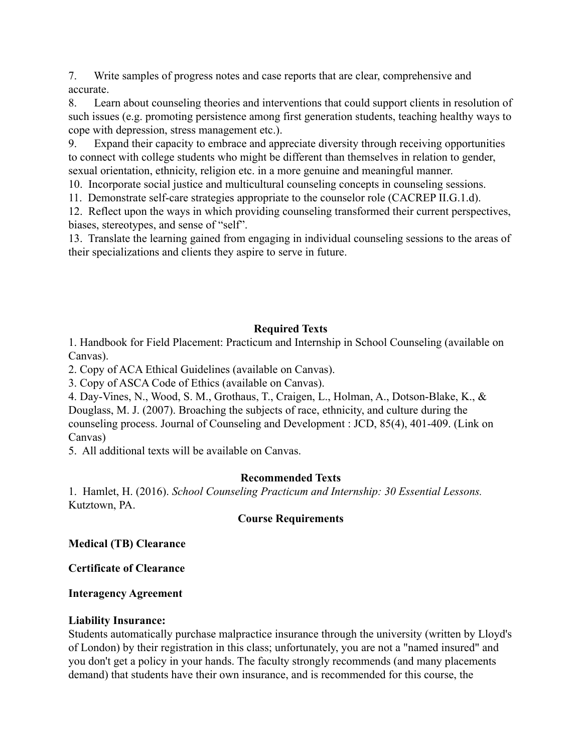7. Write samples of progress notes and case reports that are clear, comprehensive and accurate.

8. Learn about counseling theories and interventions that could support clients in resolution of such issues (e.g. promoting persistence among first generation students, teaching healthy ways to cope with depression, stress management etc.).

9. Expand their capacity to embrace and appreciate diversity through receiving opportunities to connect with college students who might be different than themselves in relation to gender, sexual orientation, ethnicity, religion etc. in a more genuine and meaningful manner.

10. Incorporate social justice and multicultural counseling concepts in counseling sessions.

11. Demonstrate self-care strategies appropriate to the counselor role (CACREP II.G.1.d).

12. Reflect upon the ways in which providing counseling transformed their current perspectives, biases, stereotypes, and sense of "self".

13. Translate the learning gained from engaging in individual counseling sessions to the areas of their specializations and clients they aspire to serve in future.

#### **Required Texts**

1. Handbook for Field Placement: Practicum and Internship in School Counseling (available on Canvas).

2. Copy of ACA Ethical Guidelines (available on Canvas).

3. Copy of ASCA Code of Ethics (available on Canvas).

4. Day-Vines, N., Wood, S. M., Grothaus, T., Craigen, L., Holman, A., Dotson-Blake, K., & Douglass, M. J. (2007). Broaching the subjects of race, ethnicity, and culture during the counseling process. Journal of Counseling and Development : JCD, 85(4), 401-409. (Link on Canvas)

5. All additional texts will be available on Canvas.

#### **Recommended Texts**

1. Hamlet, H. (2016). *School Counseling Practicum and Internship: 30 Essential Lessons.* Kutztown, PA.

#### **Course Requirements**

## **Medical (TB) Clearance**

**Certificate of Clearance**

#### **Interagency Agreement**

#### **Liability Insurance:**

Students automatically purchase malpractice insurance through the university (written by Lloyd's of London) by their registration in this class; unfortunately, you are not a "named insured" and you don't get a policy in your hands. The faculty strongly recommends (and many placements demand) that students have their own insurance, and is recommended for this course, the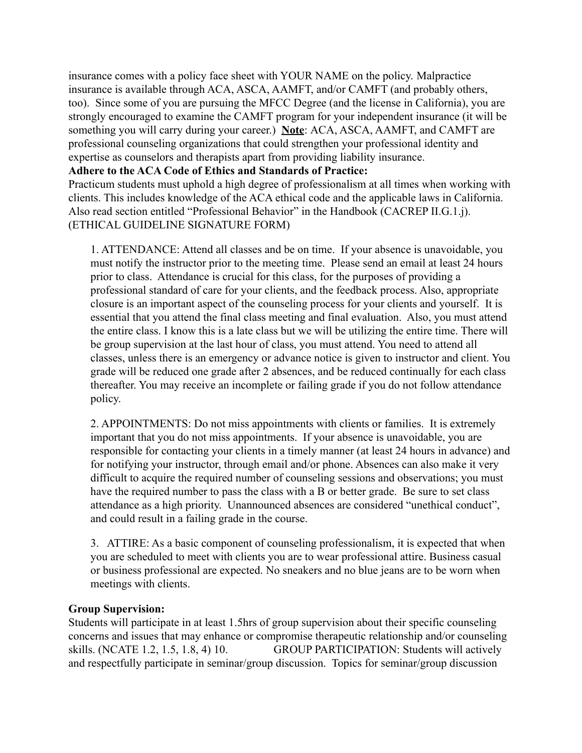insurance comes with a policy face sheet with YOUR NAME on the policy. Malpractice insurance is available through ACA, ASCA, AAMFT, and/or CAMFT (and probably others, too). Since some of you are pursuing the MFCC Degree (and the license in California), you are strongly encouraged to examine the CAMFT program for your independent insurance (it will be something you will carry during your career.) **Note**: ACA, ASCA, AAMFT, and CAMFT are professional counseling organizations that could strengthen your professional identity and expertise as counselors and therapists apart from providing liability insurance.

#### **Adhere to the ACA Code of Ethics and Standards of Practice:**

Practicum students must uphold a high degree of professionalism at all times when working with clients. This includes knowledge of the ACA ethical code and the applicable laws in California. Also read section entitled "Professional Behavior" in the Handbook (CACREP II.G.1.j). (ETHICAL GUIDELINE SIGNATURE FORM)

1. ATTENDANCE: Attend all classes and be on time. If your absence is unavoidable, you must notify the instructor prior to the meeting time. Please send an email at least 24 hours prior to class. Attendance is crucial for this class, for the purposes of providing a professional standard of care for your clients, and the feedback process. Also, appropriate closure is an important aspect of the counseling process for your clients and yourself. It is essential that you attend the final class meeting and final evaluation. Also, you must attend the entire class. I know this is a late class but we will be utilizing the entire time. There will be group supervision at the last hour of class, you must attend. You need to attend all classes, unless there is an emergency or advance notice is given to instructor and client. You grade will be reduced one grade after 2 absences, and be reduced continually for each class thereafter. You may receive an incomplete or failing grade if you do not follow attendance policy.

2. APPOINTMENTS: Do not miss appointments with clients or families. It is extremely important that you do not miss appointments. If your absence is unavoidable, you are responsible for contacting your clients in a timely manner (at least 24 hours in advance) and for notifying your instructor, through email and/or phone. Absences can also make it very difficult to acquire the required number of counseling sessions and observations; you must have the required number to pass the class with a B or better grade. Be sure to set class attendance as a high priority. Unannounced absences are considered "unethical conduct", and could result in a failing grade in the course.

3. ATTIRE: As a basic component of counseling professionalism, it is expected that when you are scheduled to meet with clients you are to wear professional attire. Business casual or business professional are expected. No sneakers and no blue jeans are to be worn when meetings with clients.

## **Group Supervision:**

Students will participate in at least 1.5hrs of group supervision about their specific counseling concerns and issues that may enhance or compromise therapeutic relationship and/or counseling skills. (NCATE 1.2, 1.5, 1.8, 4) 10. GROUP PARTICIPATION: Students will actively and respectfully participate in seminar/group discussion. Topics for seminar/group discussion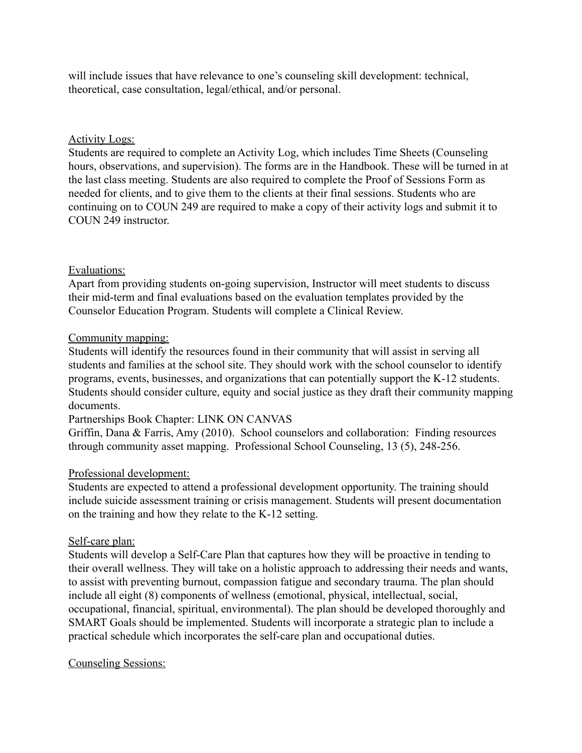will include issues that have relevance to one's counseling skill development: technical, theoretical, case consultation, legal/ethical, and/or personal.

## Activity Logs:

Students are required to complete an Activity Log, which includes Time Sheets (Counseling hours, observations, and supervision). The forms are in the Handbook. These will be turned in at the last class meeting. Students are also required to complete the Proof of Sessions Form as needed for clients, and to give them to the clients at their final sessions. Students who are continuing on to COUN 249 are required to make a copy of their activity logs and submit it to COUN 249 instructor.

#### Evaluations:

Apart from providing students on-going supervision, Instructor will meet students to discuss their mid-term and final evaluations based on the evaluation templates provided by the Counselor Education Program. Students will complete a Clinical Review.

#### Community mapping:

Students will identify the resources found in their community that will assist in serving all students and families at the school site. They should work with the school counselor to identify programs, events, businesses, and organizations that can potentially support the K-12 students. Students should consider culture, equity and social justice as they draft their community mapping documents.

#### Partnerships Book Chapter: LINK ON CANVAS

Griffin, Dana & Farris, Amy (2010). School counselors and collaboration: Finding resources through community asset mapping. Professional School Counseling, 13 (5), 248-256.

## Professional development:

Students are expected to attend a professional development opportunity. The training should include suicide assessment training or crisis management. Students will present documentation on the training and how they relate to the K-12 setting.

#### Self-care plan:

Students will develop a Self-Care Plan that captures how they will be proactive in tending to their overall wellness. They will take on a holistic approach to addressing their needs and wants, to assist with preventing burnout, compassion fatigue and secondary trauma. The plan should include all eight (8) components of wellness (emotional, physical, intellectual, social, occupational, financial, spiritual, environmental). The plan should be developed thoroughly and SMART Goals should be implemented. Students will incorporate a strategic plan to include a practical schedule which incorporates the self-care plan and occupational duties.

#### Counseling Sessions: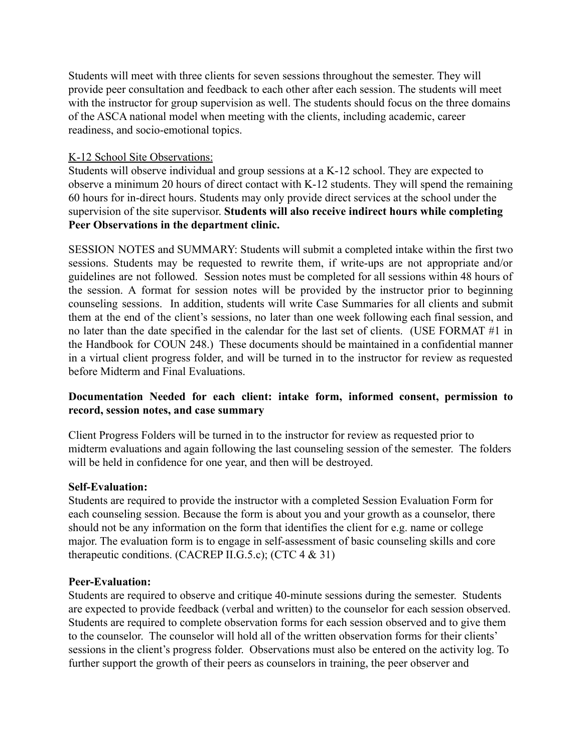Students will meet with three clients for seven sessions throughout the semester. They will provide peer consultation and feedback to each other after each session. The students will meet with the instructor for group supervision as well. The students should focus on the three domains of the ASCA national model when meeting with the clients, including academic, career readiness, and socio-emotional topics.

#### K-12 School Site Observations:

Students will observe individual and group sessions at a K-12 school. They are expected to observe a minimum 20 hours of direct contact with K-12 students. They will spend the remaining 60 hours for in-direct hours. Students may only provide direct services at the school under the supervision of the site supervisor. **Students will also receive indirect hours while completing Peer Observations in the department clinic.**

SESSION NOTES and SUMMARY: Students will submit a completed intake within the first two sessions. Students may be requested to rewrite them, if write-ups are not appropriate and/or guidelines are not followed. Session notes must be completed for all sessions within 48 hours of the session. A format for session notes will be provided by the instructor prior to beginning counseling sessions. In addition, students will write Case Summaries for all clients and submit them at the end of the client's sessions, no later than one week following each final session, and no later than the date specified in the calendar for the last set of clients. (USE FORMAT #1 in the Handbook for COUN 248.) These documents should be maintained in a confidential manner in a virtual client progress folder, and will be turned in to the instructor for review as requested before Midterm and Final Evaluations.

## **Documentation Needed for each client: intake form, informed consent, permission to record, session notes, and case summary**

Client Progress Folders will be turned in to the instructor for review as requested prior to midterm evaluations and again following the last counseling session of the semester. The folders will be held in confidence for one year, and then will be destroyed.

#### **Self-Evaluation:**

Students are required to provide the instructor with a completed Session Evaluation Form for each counseling session. Because the form is about you and your growth as a counselor, there should not be any information on the form that identifies the client for e.g. name or college major. The evaluation form is to engage in self-assessment of basic counseling skills and core therapeutic conditions. (CACREP II.G.5.c); (CTC  $4 \& 31$ )

#### **Peer-Evaluation:**

Students are required to observe and critique 40-minute sessions during the semester. Students are expected to provide feedback (verbal and written) to the counselor for each session observed. Students are required to complete observation forms for each session observed and to give them to the counselor. The counselor will hold all of the written observation forms for their clients' sessions in the client's progress folder. Observations must also be entered on the activity log. To further support the growth of their peers as counselors in training, the peer observer and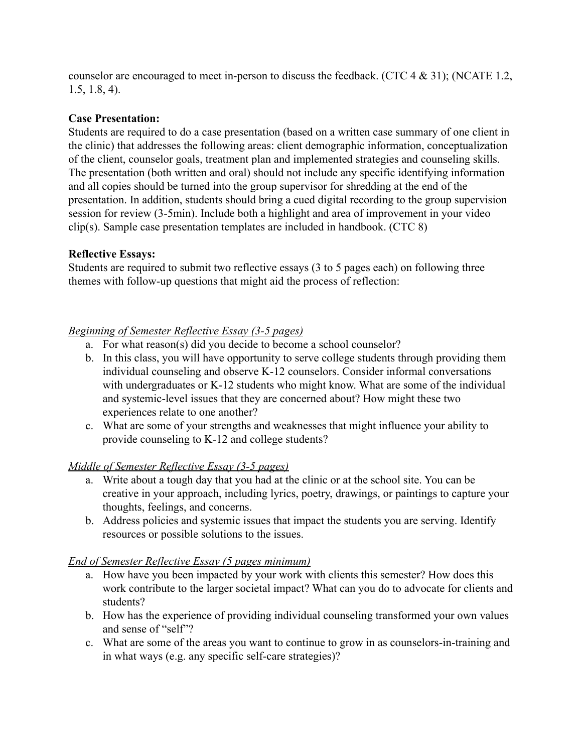counselor are encouraged to meet in-person to discuss the feedback. (CTC 4 & 31); (NCATE 1.2, 1.5, 1.8, 4).

# **Case Presentation:**

Students are required to do a case presentation (based on a written case summary of one client in the clinic) that addresses the following areas: client demographic information, conceptualization of the client, counselor goals, treatment plan and implemented strategies and counseling skills. The presentation (both written and oral) should not include any specific identifying information and all copies should be turned into the group supervisor for shredding at the end of the presentation. In addition, students should bring a cued digital recording to the group supervision session for review (3-5min). Include both a highlight and area of improvement in your video clip(s). Sample case presentation templates are included in handbook. (CTC 8)

# **Reflective Essays:**

Students are required to submit two reflective essays (3 to 5 pages each) on following three themes with follow-up questions that might aid the process of reflection:

# *Beginning of Semester Reflective Essay (3-5 pages)*

- a. For what reason(s) did you decide to become a school counselor?
- b. In this class, you will have opportunity to serve college students through providing them individual counseling and observe K-12 counselors. Consider informal conversations with undergraduates or K-12 students who might know. What are some of the individual and systemic-level issues that they are concerned about? How might these two experiences relate to one another?
- c. What are some of your strengths and weaknesses that might influence your ability to provide counseling to K-12 and college students?

## *Middle of Semester Reflective Essay (3-5 pages)*

- a. Write about a tough day that you had at the clinic or at the school site. You can be creative in your approach, including lyrics, poetry, drawings, or paintings to capture your thoughts, feelings, and concerns.
- b. Address policies and systemic issues that impact the students you are serving. Identify resources or possible solutions to the issues.

## *End of Semester Reflective Essay (5 pages minimum)*

- a. How have you been impacted by your work with clients this semester? How does this work contribute to the larger societal impact? What can you do to advocate for clients and students?
- b. How has the experience of providing individual counseling transformed your own values and sense of "self"?
- c. What are some of the areas you want to continue to grow in as counselors-in-training and in what ways (e.g. any specific self-care strategies)?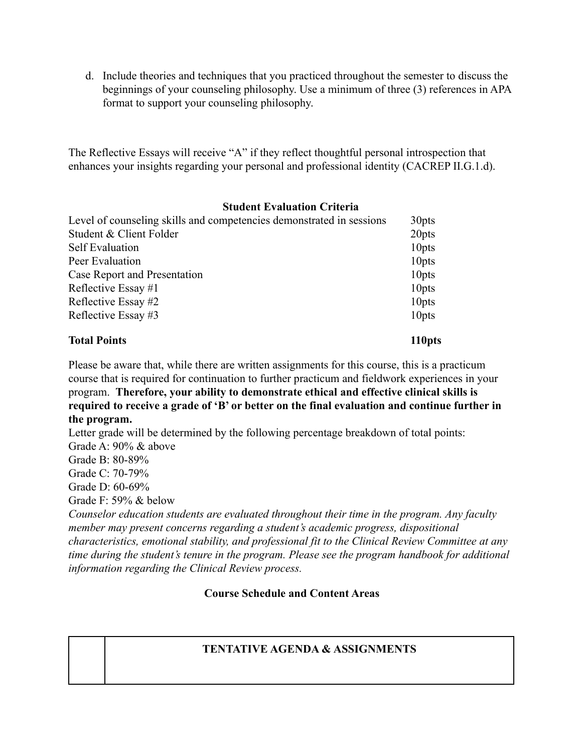d. Include theories and techniques that you practiced throughout the semester to discuss the beginnings of your counseling philosophy. Use a minimum of three (3) references in APA format to support your counseling philosophy.

The Reflective Essays will receive "A" if they reflect thoughtful personal introspection that enhances your insights regarding your personal and professional identity (CACREP II.G.1.d).

## **Student Evaluation Criteria**

| Level of counseling skills and competencies demonstrated in sessions | 30 <sub>pts</sub> |
|----------------------------------------------------------------------|-------------------|
| Student & Client Folder                                              | 20pts             |
| <b>Self Evaluation</b>                                               | 10pts             |
| Peer Evaluation                                                      | 10pts             |
| Case Report and Presentation                                         | 10 <sub>pts</sub> |
| Reflective Essay #1                                                  | 10 <sub>pts</sub> |
| Reflective Essay #2                                                  | 10pts             |
| Reflective Essay #3                                                  | 10 <sub>pts</sub> |
|                                                                      |                   |

# **Total Points 110pts**

Please be aware that, while there are written assignments for this course, this is a practicum course that is required for continuation to further practicum and fieldwork experiences in your program. **Therefore, your ability to demonstrate ethical and effective clinical skills is required to receive a grade of 'B' or better on the final evaluation and continue further in the program.**

Letter grade will be determined by the following percentage breakdown of total points: Grade A: 90% & above Grade B: 80-89% Grade C: 70-79% Grade D: 60-69%

Grade F: 59% & below

*Counselor education students are evaluated throughout their time in the program. Any faculty member may present concerns regarding a student's academic progress, dispositional characteristics, emotional stability, and professional fit to the Clinical Review Committee at any time during the student's tenure in the program. Please see the program handbook for additional information regarding the Clinical Review process.*

**Course Schedule and Content Areas**

# **TENTATIVE AGENDA & ASSIGNMENTS**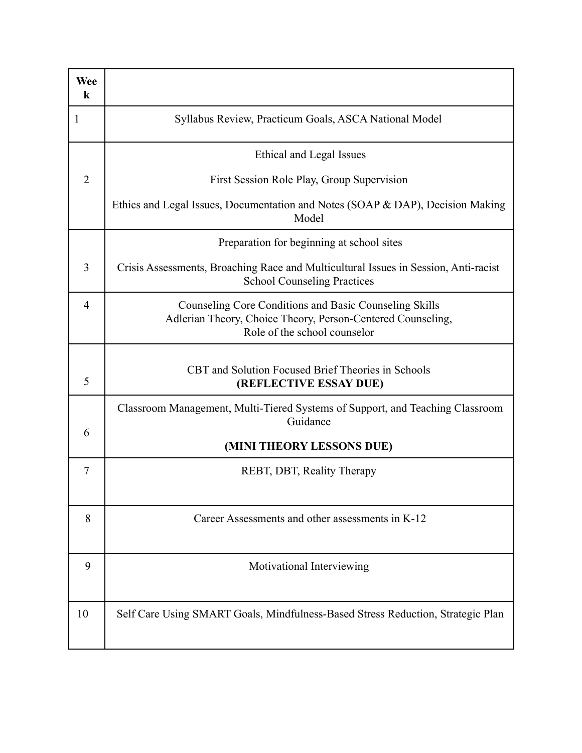| Wee<br>$\bf k$ |                                                                                                                                                       |
|----------------|-------------------------------------------------------------------------------------------------------------------------------------------------------|
| 1              | Syllabus Review, Practicum Goals, ASCA National Model                                                                                                 |
|                | Ethical and Legal Issues                                                                                                                              |
| $\overline{2}$ | First Session Role Play, Group Supervision                                                                                                            |
|                | Ethics and Legal Issues, Documentation and Notes (SOAP & DAP), Decision Making<br>Model                                                               |
|                | Preparation for beginning at school sites                                                                                                             |
| 3              | Crisis Assessments, Broaching Race and Multicultural Issues in Session, Anti-racist<br><b>School Counseling Practices</b>                             |
| $\overline{4}$ | Counseling Core Conditions and Basic Counseling Skills<br>Adlerian Theory, Choice Theory, Person-Centered Counseling,<br>Role of the school counselor |
| 5              | CBT and Solution Focused Brief Theories in Schools<br>(REFLECTIVE ESSAY DUE)                                                                          |
| 6              | Classroom Management, Multi-Tiered Systems of Support, and Teaching Classroom<br>Guidance                                                             |
|                | (MINI THEORY LESSONS DUE)                                                                                                                             |
| $\overline{7}$ | REBT, DBT, Reality Therapy                                                                                                                            |
| 8              | Career Assessments and other assessments in K-12                                                                                                      |
| 9              | Motivational Interviewing                                                                                                                             |
| 10             | Self Care Using SMART Goals, Mindfulness-Based Stress Reduction, Strategic Plan                                                                       |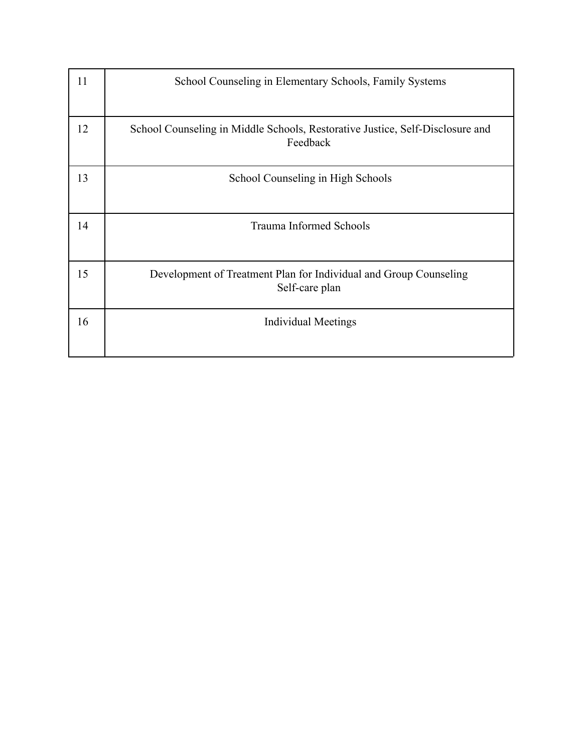| 11 | School Counseling in Elementary Schools, Family Systems                                   |
|----|-------------------------------------------------------------------------------------------|
| 12 | School Counseling in Middle Schools, Restorative Justice, Self-Disclosure and<br>Feedback |
| 13 | School Counseling in High Schools                                                         |
| 14 | <b>Trauma Informed Schools</b>                                                            |
| 15 | Development of Treatment Plan for Individual and Group Counseling<br>Self-care plan       |
| 16 | Individual Meetings                                                                       |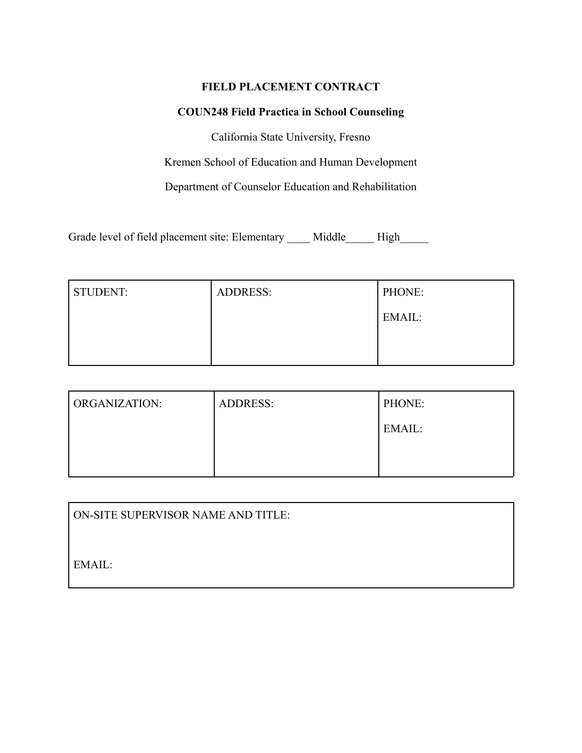# **FIELD PLACEMENT CONTRACT**

# **COUN248 Field Practica in School Counseling**

California State University, Fresno

Kremen School of Education and Human Development

Department of Counselor Education and Rehabilitation

Grade level of field placement site: Elementary \_\_\_\_ Middle\_\_\_\_\_ High\_\_\_\_\_

| <b>STUDENT:</b> | <b>ADDRESS:</b> | PHONE: |
|-----------------|-----------------|--------|
|                 |                 | EMAIL: |
|                 |                 |        |
|                 |                 |        |

| ORGANIZATION: | <b>ADDRESS:</b> | PHONE: |
|---------------|-----------------|--------|
|               |                 | EMAIL: |
|               |                 |        |
|               |                 |        |

| ON-SITE SUPERVISOR NAME AND TITLE: |  |
|------------------------------------|--|
|                                    |  |
| EMAIL:                             |  |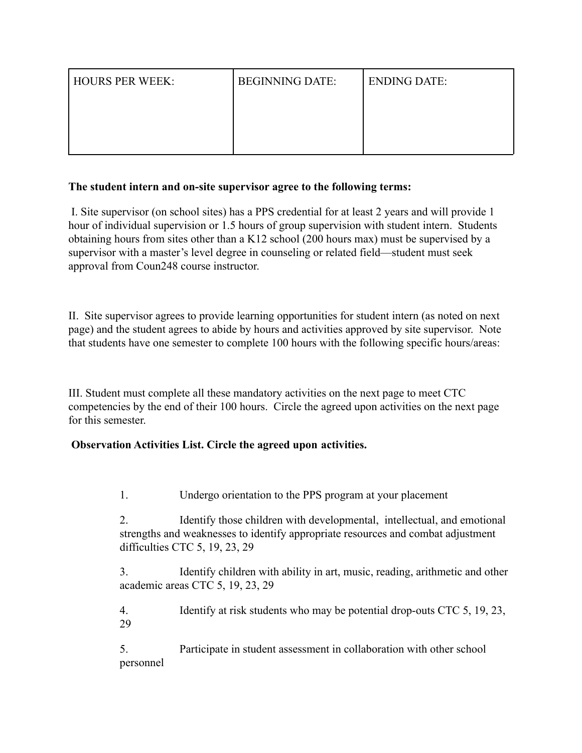| <b>HOURS PER WEEK:</b> | <b>BEGINNING DATE:</b> | <b>ENDING DATE:</b> |
|------------------------|------------------------|---------------------|
|                        |                        |                     |
|                        |                        |                     |
|                        |                        |                     |

#### **The student intern and on-site supervisor agree to the following terms:**

I. Site supervisor (on school sites) has a PPS credential for at least 2 years and will provide 1 hour of individual supervision or 1.5 hours of group supervision with student intern. Students obtaining hours from sites other than a K12 school (200 hours max) must be supervised by a supervisor with a master's level degree in counseling or related field—student must seek approval from Coun248 course instructor.

II. Site supervisor agrees to provide learning opportunities for student intern (as noted on next page) and the student agrees to abide by hours and activities approved by site supervisor. Note that students have one semester to complete 100 hours with the following specific hours/areas:

III. Student must complete all these mandatory activities on the next page to meet CTC competencies by the end of their 100 hours. Circle the agreed upon activities on the next page for this semester.

# **Observation Activities List. Circle the agreed upon activities.**

1. Undergo orientation to the PPS program at your placement

2. Identify those children with developmental, intellectual, and emotional strengths and weaknesses to identify appropriate resources and combat adjustment difficulties CTC 5, 19, 23, 29

3. Identify children with ability in art, music, reading, arithmetic and other academic areas CTC 5, 19, 23, 29

4. Identify at risk students who may be potential drop-outs CTC 5, 19, 23, 29

5. Participate in student assessment in collaboration with other school personnel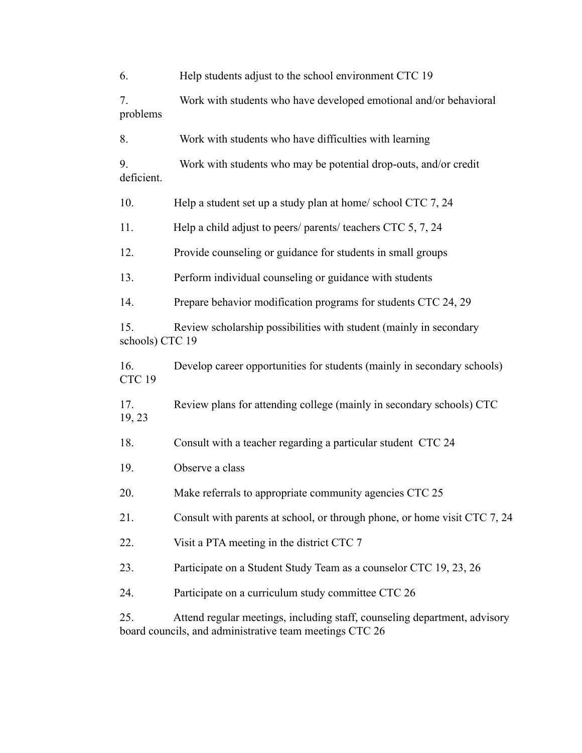6. Help students adjust to the school environment CTC 19

7. Work with students who have developed emotional and/or behavioral problems

8. Work with students who have difficulties with learning

9. Work with students who may be potential drop-outs, and/or credit deficient.

10. Help a student set up a study plan at home/ school CTC 7, 24

11. Help a child adjust to peers/ parents/ teachers CTC 5, 7, 24

12. Provide counseling or guidance for students in small groups

13. Perform individual counseling or guidance with students

14. Prepare behavior modification programs for students CTC 24, 29

15. Review scholarship possibilities with student (mainly in secondary schools) CTC 19

16. Develop career opportunities for students (mainly in secondary schools) CTC 19

17. Review plans for attending college (mainly in secondary schools) CTC 19, 23

18. Consult with a teacher regarding a particular student CTC 24

19. Observe a class

20. Make referrals to appropriate community agencies CTC 25

21. Consult with parents at school, or through phone, or home visit CTC 7, 24

22. Visit a PTA meeting in the district CTC 7

23. Participate on a Student Study Team as a counselor CTC 19, 23, 26

24. Participate on a curriculum study committee CTC 26

25. Attend regular meetings, including staff, counseling department, advisory board councils, and administrative team meetings CTC 26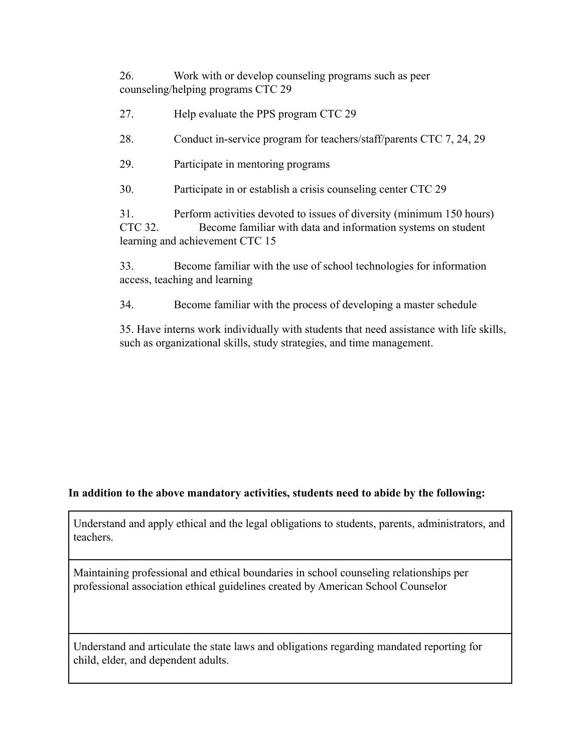26. Work with or develop counseling programs such as peer counseling/helping programs CTC 29

27. Help evaluate the PPS program CTC 29 28. Conduct in-service program for teachers/staff/parents CTC 7, 24, 29 29. Participate in mentoring programs 30. Participate in or establish a crisis counseling center CTC 29 31. Perform activities devoted to issues of diversity (minimum 150 hours) CTC 32. Become familiar with data and information systems on student learning and achievement CTC 15

33. Become familiar with the use of school technologies for information access, teaching and learning

34. Become familiar with the process of developing a master schedule

35. Have interns work individually with students that need assistance with life skills, such as organizational skills, study strategies, and time management.

# **In addition to the above mandatory activities, students need to abide by the following:**

Understand and apply ethical and the legal obligations to students, parents, administrators, and teachers.

Maintaining professional and ethical boundaries in school counseling relationships per professional association ethical guidelines created by American School Counselor

Understand and articulate the state laws and obligations regarding mandated reporting for child, elder, and dependent adults.